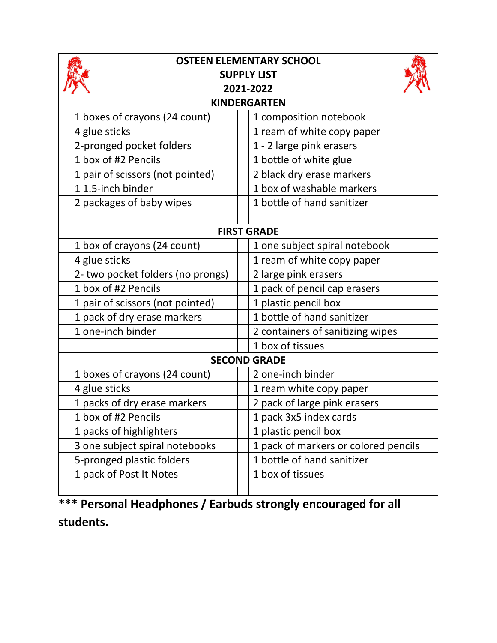| <b>OSTEEN ELEMENTARY SCHOOL</b><br><b>SUPPLY LIST</b><br>2021-2022 |                                      |  |
|--------------------------------------------------------------------|--------------------------------------|--|
| <b>KINDERGARTEN</b>                                                |                                      |  |
| 1 boxes of crayons (24 count)                                      | 1 composition notebook               |  |
| 4 glue sticks                                                      | 1 ream of white copy paper           |  |
| 2-pronged pocket folders                                           | 1 - 2 large pink erasers             |  |
| 1 box of #2 Pencils                                                | 1 bottle of white glue               |  |
| 1 pair of scissors (not pointed)                                   | 2 black dry erase markers            |  |
| 11.5-inch binder                                                   | 1 box of washable markers            |  |
| 2 packages of baby wipes                                           | 1 bottle of hand sanitizer           |  |
|                                                                    |                                      |  |
| <b>FIRST GRADE</b>                                                 |                                      |  |
| 1 box of crayons (24 count)                                        | 1 one subject spiral notebook        |  |
| 4 glue sticks                                                      | 1 ream of white copy paper           |  |
| 2- two pocket folders (no prongs)                                  | 2 large pink erasers                 |  |
| 1 box of #2 Pencils                                                | 1 pack of pencil cap erasers         |  |
| 1 pair of scissors (not pointed)                                   | 1 plastic pencil box                 |  |
| 1 pack of dry erase markers                                        | 1 bottle of hand sanitizer           |  |
| 1 one-inch binder                                                  | 2 containers of sanitizing wipes     |  |
|                                                                    | 1 box of tissues                     |  |
| <b>SECOND GRADE</b>                                                |                                      |  |
| 1 boxes of crayons (24 count)                                      | 2 one-inch binder                    |  |
| 4 glue sticks                                                      | 1 ream white copy paper              |  |
| 1 packs of dry erase markers                                       | 2 pack of large pink erasers         |  |
| 1 box of #2 Pencils                                                | 1 pack 3x5 index cards               |  |
| 1 packs of highlighters                                            | 1 plastic pencil box                 |  |
| 3 one subject spiral notebooks                                     | 1 pack of markers or colored pencils |  |
| 5-pronged plastic folders                                          | 1 bottle of hand sanitizer           |  |
| 1 pack of Post It Notes                                            | 1 box of tissues                     |  |
|                                                                    |                                      |  |

**\*\*\* Personal Headphones / Earbuds strongly encouraged for all students.**